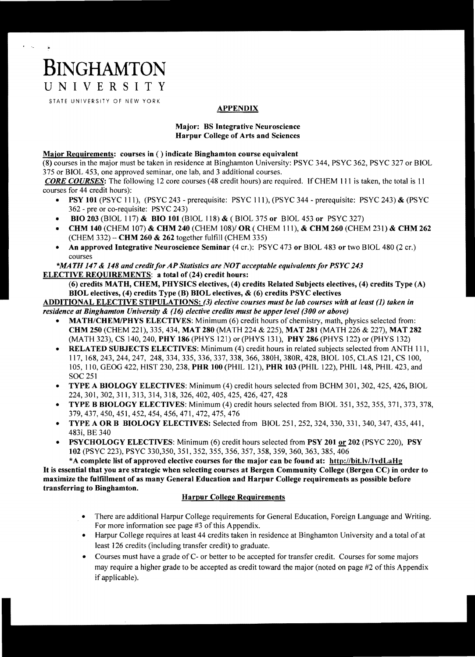# **BINGHAMTON**  UNIVERSITY

STATE UNIVERSITY OF NEW YORK

## APPENDIX

### Major: BS Integrative Neuroscience Harpur College of Arts and Sciences

#### Major Requirements: courses in () indicate Binghamton course equivalent

(8) courses in the major must be taken in residence at Binghamton University: PSYC 344, PSYC 362, PSYC 327 or BlOL 375 or BIOL 453, one approved seminar, one lab, and 3 additional courses.

*CORE COURSES:* The following 12 core courses (48 credit hours) are required. IfCHEM 111 is taken, the total is 11 courses for 44 credit hours):

- PSY 101 (PSYC 111), (PSYC 243 prerequisite: PSYC 111), (PSYC 344 prerequisite: PSYC 243) & (PSYC 362 - pre or co-requisite: PSYC 243)
- BIO 203 (BIOL 117) & BIO 101 (BIOL 118) & (BIOL 375 or BIOL 453 or PSYC 327)
- CHM 140 (CHEM 107) & CHM 240 (CHEM 108)/ OR (CHEM 111), & CHM 260 (CHEM 231) & CHM 262 (CHEM 332) - CHM 260 & 262 together fulfill (CHEM 335)
- An approved Integrative Neuroscience Seminar (4 cr.): PSYC 473 or BIOL 483 or two BIOL 480 (2 cr.) courses

#### *\*MATH 147 & 148 and credit for AP Statistics are NOT acceptable equivalents for PSYC 243* ELECTIVE REQUIREMENTS: a total of (24) credit hours:

(6) credits MATH, CHEM, PHYSICS electives, (4) credits Related Subjects electives, (4) credits Type (A) BIOL electives, (4) credits Type (B) BIOL electives, & (6) credits PSYC electives

ADDITIONAL ELECTIVE STIPULATIONS: (3) *elective courses must be lab courses with at least* (1) *taken in residence at Binghamton University* & (16) *elective credits must be upper level (300 or above)* 

- MATH/CHEM/PHYS ELECTIVES: Minimum (6) credit hours of chemistry, math, physics selected from: CHM 250 (CHEM 221),335, 434, MAT 280 (MATH 224 & 225), MAT 281 (MATH 226 & 227), MAT 282 (MATH 323), CS 140, 240, PHY 186 (pHYS 121) or (PHYS 131), PHY 286 (PHYS 122) or (PHYS 132)
- RELATED SUBJECTS ELECTIVES: Minimum (4) credit hours in related subjects selected from ANTH 111, 117,168,243,244,247, 248,334,335,336,337,338,366, 380H, 380R, 428, BIOL 105, CLAS 121, CS 100, 105, 110, GEOG 422, HIST 230, 238, PHR 100 (PHIL 121), PHR 103 (PHIL 122), PHIL 148, PHIL 423, and SOC 251
- TYPE A BIOLOGY ELECTIVES: Minimum (4) credit hours selected from BCHM 301, 302, 425, 426, BIOL 224,301,302,311,313,314,318,326,402,405,425,426,427,428
- TYPE B BIOLOGY ELECTIVES: Minimum (4) credit hours selected from BIOL 351, 352, 355, 371, 373, 378, 379,437,450,451,452,454,456,471,472,475,476
- TYPE A OR B BIOLOGY ELECTIVES: Selected from BIOL 251, 252, 324, 330, 331, 340, 347, 435, 441, 483i, BE 340
- PSYCHOLOGY ELECTIVES: Minimum (6) credit hours selected from PSY 201 or 202 (PSYC 220), PSY 102 (PSYC 223), PSYC 330,350, 351, 352,355,356,357,358,359,360,363,385,406

\*A complete list of approved elective courses for the major can be found at: http://bit.lv/1vdLaHg It is essential that you are strategic when selecting courses at Bergen Community College (Bergen CC) in order to maximize the fulfillment of as many General Education and Harpur College requirements as possible before transferring to Binghamton.

#### Harpur College Requirements

- There are additional Harpur College requirements for General Education, Foreign Language and Writing. For more information see page #3 of this Appendix.
- Harpur College requires at least 44 credits taken in residence at Binghamton University and a total of at least 126 credits (including transfer credit) to graduate.
- Courses must have a grade of C- or better to be accepted for transfer credit. Courses for some majors may require a higher grade to be accepted as credit toward the major (noted on page #2 of this Appendix if applicable).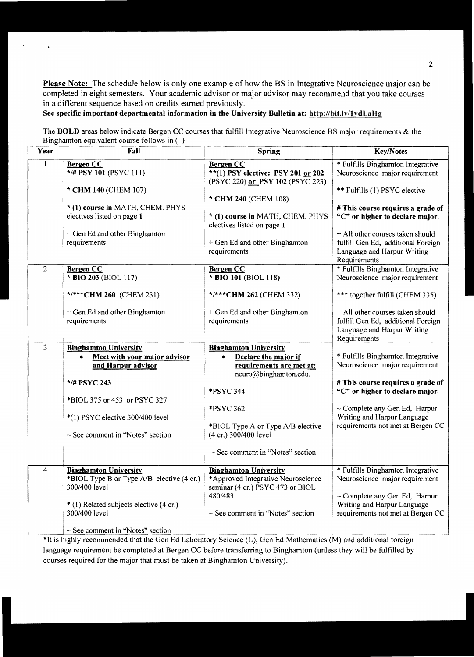Please Note: The schedule below is only one example of how the BS in Integrative Neuroscience major can be completed in eight semesters. Your academic advisor or major advisor may recommend that you take courses in a different sequence based on credits earned previously.

## See specific important departmental information in tbe University Bulletin at: http://bit.lv/lydLaHg

l,

The BOLD areas below indicate Bergen CC courses that fulfill Integrative Neuroscience BS major requirements & the Binghamton equivalent course follows in  $( )$ 

| Year           | Fall                                                                                       | <b>Spring</b>                                                                                                          | <b>Key/Notes</b>                                                                                                      |
|----------------|--------------------------------------------------------------------------------------------|------------------------------------------------------------------------------------------------------------------------|-----------------------------------------------------------------------------------------------------------------------|
| $\mathbf{1}$   | <b>Bergen CC</b><br>*/# PSY 101 (PSYC 111)                                                 | <b>Bergen CC</b><br>**(1) PSY elective: PSY 201 or 202<br>(PSYC 220) or PSY 102 (PSYC 223)                             | * Fulfills Binghamton Integrative<br>Neuroscience major requirement                                                   |
|                | * CHM 140 (CHEM 107)                                                                       | * CHM 240 (CHEM 108)                                                                                                   | ** Fulfills (1) PSYC elective                                                                                         |
|                | * (1) course in MATH, CHEM. PHYS<br>electives listed on page 1                             | * (1) course in MATH, CHEM. PHYS<br>electives listed on page 1                                                         | # This course requires a grade of<br>"C" or higher to declare major.                                                  |
|                | + Gen Ed and other Binghamton<br>requirements                                              | + Gen Ed and other Binghamton<br>requirements                                                                          | + All other courses taken should<br>fulfill Gen Ed, additional Foreign<br>Language and Harpur Writing<br>Requirements |
| $\overline{2}$ | <b>Bergen CC</b><br>* BIO 203 (BIOL 117)                                                   | <b>Bergen CC</b><br>* BIO 101 (BIOL 118)                                                                               | * Fulfills Binghamton Integrative<br>Neuroscience major requirement                                                   |
|                | */***CHM 260 (CHEM 231)                                                                    | */***CHM 262 (CHEM 332)                                                                                                | *** together fulfill (CHEM 335)                                                                                       |
|                | + Gen Ed and other Binghamton<br>requirements                                              | + Gen Ed and other Binghamton<br>requirements                                                                          | + All other courses taken should<br>fulfill Gen Ed, additional Foreign<br>Language and Harpur Writing<br>Requirements |
| 3              | <b>Binghamton University</b><br>Meet with your major advisor<br>and Harpur advisor         | <b>Binghamton University</b><br>Declare the major if<br>$\bullet$<br>requirements are met at:<br>neuro@binghamton.edu. | * Fulfills Binghamton Integrative<br>Neuroscience major requirement                                                   |
|                | */# PSYC 243                                                                               | *PSYC 344                                                                                                              | # This course requires a grade of<br>"C" or higher to declare major.                                                  |
|                | *BIOL 375 or 453 or PSYC 327<br>*(1) PSYC elective 300/400 level                           | *PSYC 362                                                                                                              | $\sim$ Complete any Gen Ed, Harpur<br>Writing and Harpur Language                                                     |
|                | $\sim$ See comment in "Notes" section                                                      | *BIOL Type A or Type A/B elective<br>(4 cr.) 300/400 level                                                             | requirements not met at Bergen CC                                                                                     |
|                |                                                                                            | $\sim$ See comment in "Notes" section                                                                                  |                                                                                                                       |
| 4              | <b>Binghamton University</b><br>*BIOL Type B or Type A/B elective (4 cr.)<br>300/400 level | <b>Binghamton University</b><br>*Approved Integrative Neuroscience<br>seminar (4 cr.) PSYC 473 or BIOL<br>480/483      | * Fulfills Binghamton Integrative<br>Neuroscience major requirement<br>$\sim$ Complete any Gen Ed, Harpur             |
|                | * (1) Related subjects elective (4 cr.)<br>300/400 level                                   | $\sim$ See comment in "Notes" section                                                                                  | Writing and Harpur Language<br>requirements not met at Bergen CC                                                      |
|                | $\sim$ See comment in "Notes" section                                                      |                                                                                                                        |                                                                                                                       |

\*It is highly recommended that the Gen Ed Laboratory Science (L), Gen Ed Mathematics (M) and additional foreign language requirement be completed at Bergen CC before transferring to Binghamton (unless they will be fulfilled by courses required for the major that must be taken at Binghamton University).